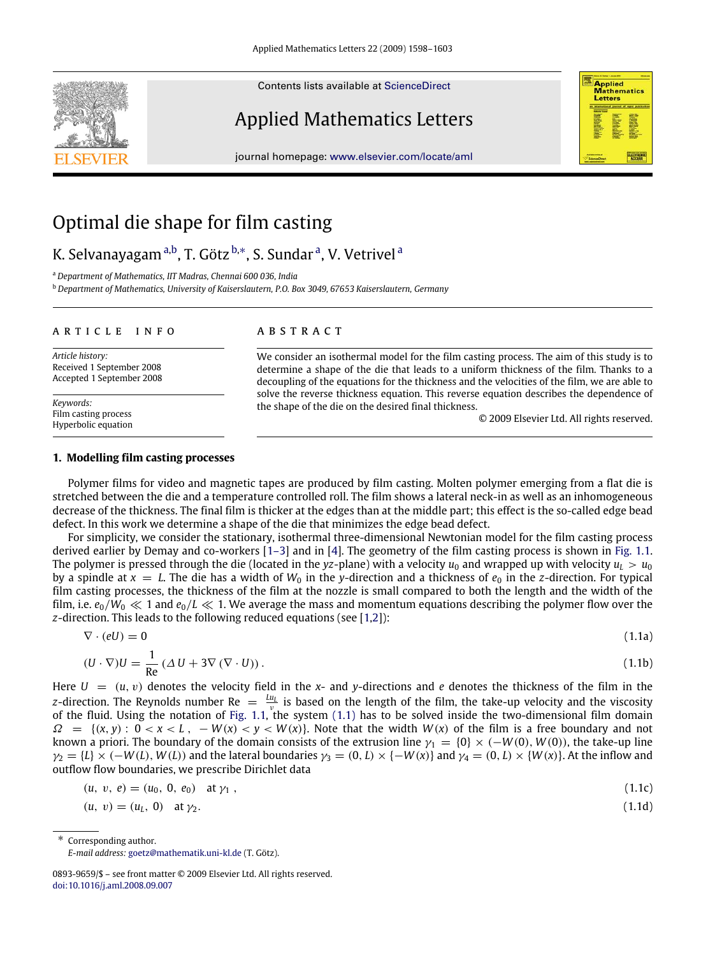Contents lists available at [ScienceDirect](http://www.elsevier.com/locate/aml)

# Applied Mathematics Letters

journal homepage: [www.elsevier.com/locate/aml](http://www.elsevier.com/locate/aml)





# K. Selv[a](#page-0-0)nayagam <sup>a[,b](#page-0-1)</sup>, T. Götz <sup>[b,](#page-0-1)</sup>\*, S. Sundar <sup>a</sup>, V. Vetrivel <sup>a</sup>

<span id="page-0-0"></span><sup>a</sup> *Department of Mathematics, IIT Madras, Chennai 600 036, India*

<span id="page-0-1"></span><sup>b</sup> *Department of Mathematics, University of Kaiserslautern, P.O. Box 3049, 67653 Kaiserslautern, Germany*

#### a r t i c l e i n f o

*Article history:* Received 1 September 2008 Accepted 1 September 2008

*Keywords:* Film casting process Hyperbolic equation

# a b s t r a c t

We consider an isothermal model for the film casting process. The aim of this study is to determine a shape of the die that leads to a uniform thickness of the film. Thanks to a decoupling of the equations for the thickness and the velocities of the film, we are able to solve the reverse thickness equation. This reverse equation describes the dependence of the shape of the die on the desired final thickness.

<span id="page-0-5"></span><span id="page-0-4"></span>© 2009 Elsevier Ltd. All rights reserved.

**Applied Mathematics** Letters

# **1. Modelling film casting processes**

Polymer films for video and magnetic tapes are produced by film casting. Molten polymer emerging from a flat die is stretched between the die and a temperature controlled roll. The film shows a lateral neck-in as well as an inhomogeneous decrease of the thickness. The final film is thicker at the edges than at the middle part; this effect is the so-called edge bead defect. In this work we determine a shape of the die that minimizes the edge bead defect.

For simplicity, we consider the stationary, isothermal three-dimensional Newtonian model for the film casting process derived earlier by Demay and co-workers [\[1–3\]](#page-5-0) and in [\[4\]](#page-5-1). The geometry of the film casting process is shown in [Fig. 1.1.](#page-1-0) The polymer is pressed through the die (located in the *yz*-plane) with a velocity  $u_0$  and wrapped up with velocity  $u_L > u_0$ by a spindle at  $x = L$ . The die has a width of  $W_0$  in the *y*-direction and a thickness of  $e_0$  in the *z*-direction. For typical film casting processes, the thickness of the film at the nozzle is small compared to both the length and the width of the film, i.e.  $e_0/W_0 \ll 1$  and  $e_0/L \ll 1$ . We average the mass and momentum equations describing the polymer flow over the *z*-direction. This leads to the following reduced equations (see [\[1](#page-5-0)[,2\]](#page-5-2)):

<span id="page-0-3"></span>
$$
\nabla \cdot (eU) = 0 \tag{1.1a}
$$

$$
(U \cdot \nabla)U = \frac{1}{Re} (\Delta U + 3\nabla (\nabla \cdot U)).
$$
\n(1.1b)

Here  $U = (u, v)$  denotes the velocity field in the x- and y-directions and *e* denotes the thickness of the film in the *z*-direction. The Reynolds number  $Re = \frac{Lu_l}{v}$  is based on the length of the film, the take-up velocity and the viscosity of the fluid. Using the notation of [Fig. 1.1,](#page-1-0) the system [\(1.1\)](#page-0-3) has to be solved inside the two-dimensional film domain  $\Omega = \{(x, y): 0 < x < L, -W(x) < y < W(x)\}$ . Note that the width  $W(x)$  of the film is a free boundary and not known a priori. The boundary of the domain consists of the extrusion line  $\gamma_1 = \{0\} \times (-W(0), W(0))$ , the take-up line  $\gamma_2 = \{L\} \times (-W(L), W(L))$  and the lateral boundaries  $\gamma_3 = (0, L) \times \{-W(x)\}$  and  $\gamma_4 = (0, L) \times \{W(x)\}$ . At the inflow and outflow flow boundaries, we prescribe Dirichlet data

$$
(u, v, e) = (u_0, 0, e_0) \text{ at } \gamma_1 , \qquad (1.1c)
$$

$$
(u, v) = (uL, 0) at  $\gamma_2$ .
$$
 (1.1d)

Corresponding author.

<span id="page-0-2"></span>*E-mail address:* [goetz@mathematik.uni-kl.de](mailto:goetz@mathematik.uni-kl.de) (T. Götz).

<sup>0893-9659/\$ –</sup> see front matter © 2009 Elsevier Ltd. All rights reserved. [doi:10.1016/j.aml.2008.09.007](http://dx.doi.org/10.1016/j.aml.2008.09.007)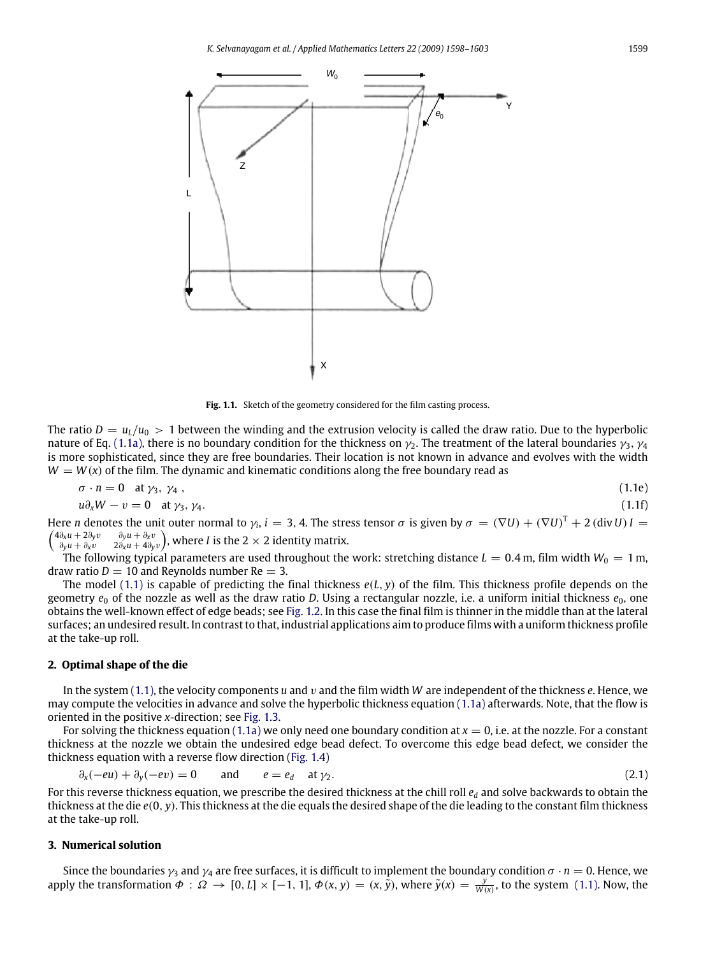<span id="page-1-0"></span>

<span id="page-1-3"></span><span id="page-1-2"></span>Fig. 1.1. Sketch of the geometry considered for the film casting process.

The ratio  $D = u_L/u_0 > 1$  between the winding and the extrusion velocity is called the draw ratio. Due to the hyperbolic nature of Eq. [\(1.1a\),](#page-0-4) there is no boundary condition for the thickness on  $\gamma_2$ . The treatment of the lateral boundaries  $\gamma_3$ ,  $\gamma_4$ is more sophisticated, since they are free boundaries. Their location is not known in advance and evolves with the width  $W = W(x)$  of the film. The dynamic and kinematic conditions along the free boundary read as

$$
\sigma \cdot n = 0 \quad \text{at } \gamma_3, \ \gamma_4 \ , \tag{1.1e}
$$

$$
u\partial_x W - v = 0 \quad \text{at } \gamma_3, \gamma_4. \tag{1.1f}
$$

Here *n* denotes the unit outer normal to  $\gamma_i$ ,  $i=3,4$ . The stress tensor  $\sigma$  is given by  $\sigma = (\nabla U) + (\nabla U)^T + 2$  (div *U*) I =  $4\partial_x u + 2\partial_v v$ 4∂*xu* + 2∂*y*v ∂*yu* + ∂*x*v ∂*yu* + ∂*x*v 2∂*xu* + 4∂*y*v , where *I* is the 2 × 2 identity matrix.

The following typical parameters are used throughout the work: stretching distance  $L = 0.4$  m, film width  $W_0 = 1$  m, draw ratio  $D = 10$  and Reynolds number Re  $= 3$ .

The model [\(1.1\)](#page-0-3) is capable of predicting the final thickness *e*(*L*, *y*) of the film. This thickness profile depends on the geometry  $e_0$  of the nozzle as well as the draw ratio *D*. Using a rectangular nozzle, i.e. a uniform initial thickness  $e_0$ , one obtains the well-known effect of edge beads; see [Fig. 1.2.](#page-2-0) In this case the final film is thinner in the middle than at the lateral surfaces; an undesired result. In contrast to that, industrial applications aim to produce films with a uniform thickness profile at the take-up roll.

#### **2. Optimal shape of the die**

In the system [\(1.1\),](#page-0-3) the velocity components *u* and v and the film width *W* are independent of the thickness *e*. Hence, we may compute the velocities in advance and solve the hyperbolic thickness equation [\(1.1a\)](#page-0-4) afterwards. Note, that the flow is oriented in the positive *x*-direction; see [Fig. 1.3.](#page-2-1)

For solving the thickness equation [\(1.1a\)](#page-0-4) we only need one boundary condition at  $x = 0$ , i.e. at the nozzle. For a constant thickness at the nozzle we obtain the undesired edge bead defect. To overcome this edge bead defect, we consider the thickness equation with a reverse flow direction [\(Fig. 1.4\)](#page-2-2)

<span id="page-1-1"></span>
$$
\partial_x(-eu) + \partial_y(-ev) = 0 \qquad \text{and} \qquad e = e_d \quad \text{at } \gamma_2. \tag{2.1}
$$

For this reverse thickness equation, we prescribe the desired thickness at the chill roll *e<sup>d</sup>* and solve backwards to obtain the thickness at the die *e*(0, *y*). This thickness at the die equals the desired shape of the die leading to the constant film thickness at the take-up roll.

### **3. Numerical solution**

Since the boundaries  $\gamma_3$  and  $\gamma_4$  are free surfaces, it is difficult to implement the boundary condition  $\sigma \cdot n = 0$ . Hence, we apply the transformation  $\Phi: \Omega \to [0, L] \times [-1, 1], \Phi(x, y) = (x, \tilde{y})$ , where  $\tilde{y}(x) = \frac{y}{W(x)}$ , to the system [\(1.1\).](#page-0-3) Now, the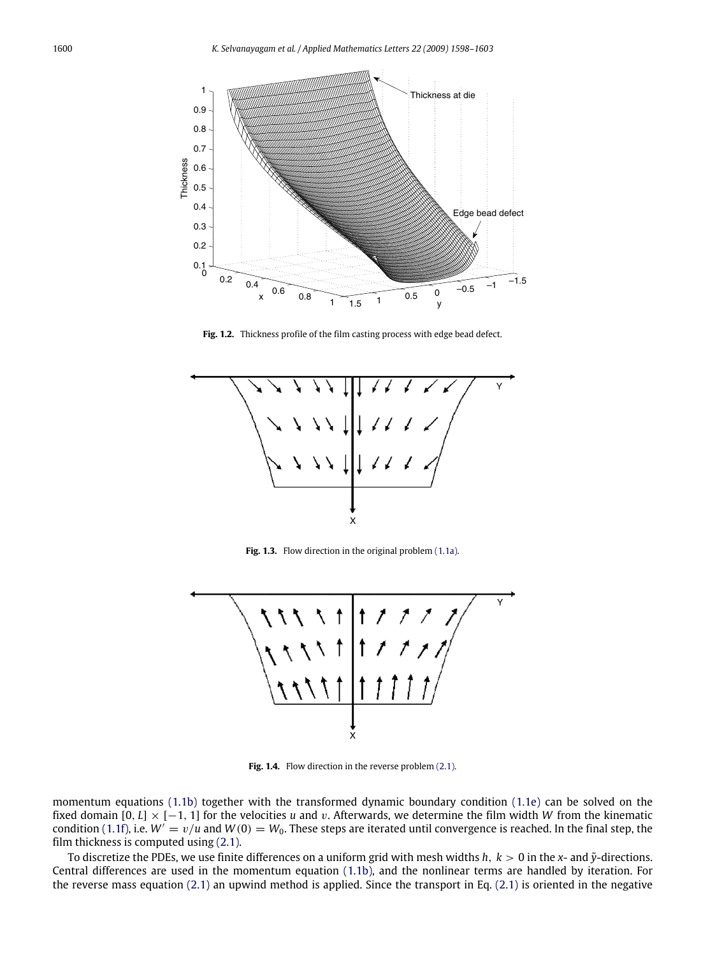<span id="page-2-0"></span>

**Fig. 1.2.** Thickness profile of the film casting process with edge bead defect.

<span id="page-2-1"></span>

Fig. 1.3. Flow direction in the original problem [\(1.1a\).](#page-0-4)

<span id="page-2-2"></span>

Fig. 1.4. Flow direction in the reverse problem [\(2.1\).](#page-1-1)

momentum equations [\(1.1b\)](#page-0-5) together with the transformed dynamic boundary condition [\(1.1e\)](#page-1-2) can be solved on the fixed domain [0, *L*] × [−1, 1] for the velocities *u* and v. Afterwards, we determine the film width *W* from the kinematic condition [\(1.1f\),](#page-1-3) i.e.  $W' = v/u$  and  $W(0) = W_0$ . These steps are iterated until convergence is reached. In the final step, the film thickness is computed using [\(2.1\).](#page-1-1)

To discretize the PDEs, we use finite differences on a uniform grid with mesh widths  $h$ ,  $k > 0$  in the  $x$ - and  $\tilde{y}$ -directions. Central differences are used in the momentum equation [\(1.1b\),](#page-0-5) and the nonlinear terms are handled by iteration. For the reverse mass equation [\(2.1\)](#page-1-1) an upwind method is applied. Since the transport in Eq. [\(2.1\)](#page-1-1) is oriented in the negative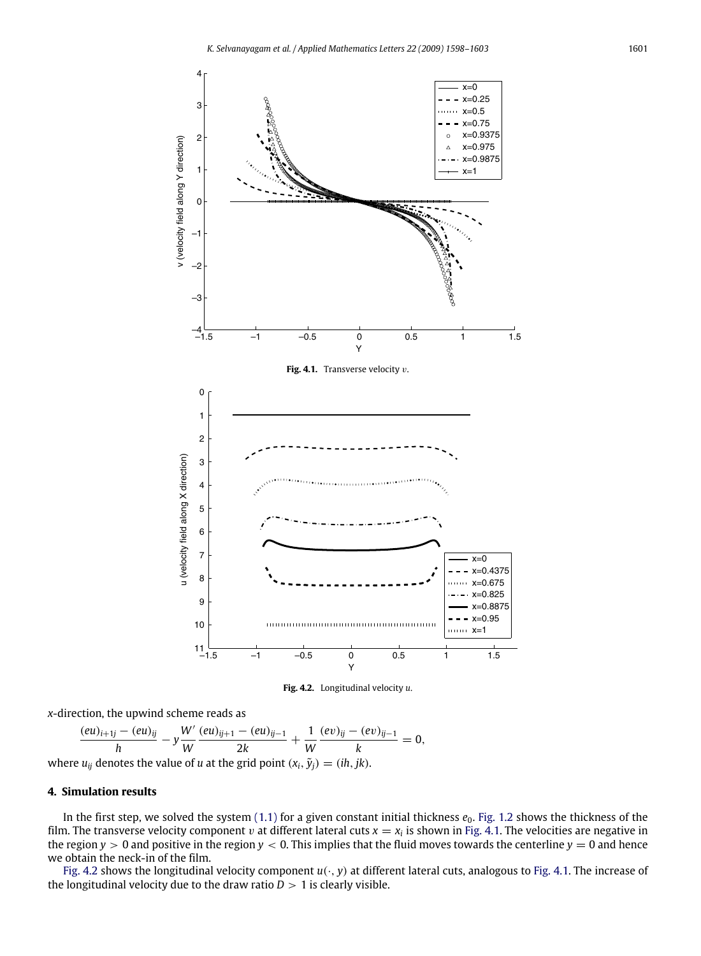<span id="page-3-0"></span>

**Fig. 4.2.** Longitudinal velocity *u*.

<span id="page-3-1"></span>*x*-direction, the upwind scheme reads as

$$
\frac{(eu)_{i+1j} - (eu)_{ij}}{h} - y\frac{W'}{W}\frac{(eu)_{ij+1} - (eu)_{ij-1}}{2k} + \frac{1}{W}\frac{(ev)_{ij} - (ev)_{ij-1}}{k} = 0,
$$
  
where  $u_{ij}$  denotes the value of *u* at the grid point  $(x_i, \tilde{y}_i) = (ih, jk)$ .

#### **4. Simulation results**

In the first step, we solved the system  $(1.1)$  for a given constant initial thickness  $e_0$ . [Fig. 1.2](#page-2-0) shows the thickness of the film. The transverse velocity component  $v$  at different lateral cuts  $x = x_i$  is shown in [Fig. 4.1.](#page-3-0) The velocities are negative in the region  $y > 0$  and positive in the region  $y < 0$ . This implies that the fluid moves towards the centerline  $y = 0$  and hence we obtain the neck-in of the film.

[Fig. 4.2](#page-3-1) shows the longitudinal velocity component *u*(·, *y*) at different lateral cuts, analogous to [Fig. 4.1.](#page-3-0) The increase of the longitudinal velocity due to the draw ratio  $D > 1$  is clearly visible.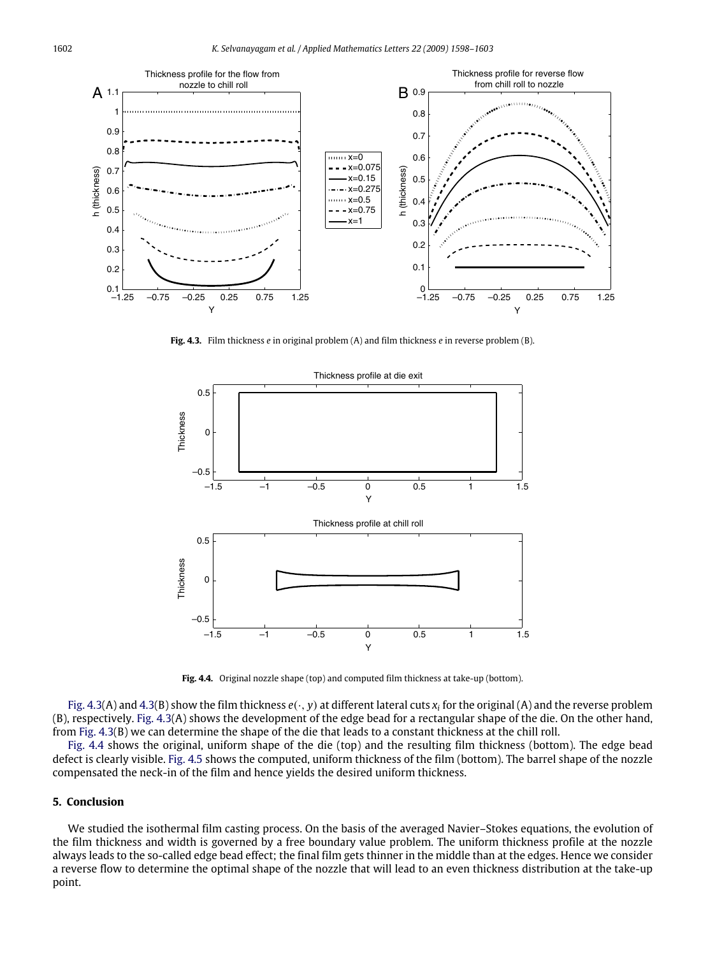<span id="page-4-0"></span>

**Fig. 4.3.** Film thickness *e* in original problem (A) and film thickness *e* in reverse problem (B).

<span id="page-4-1"></span>

**Fig. 4.4.** Original nozzle shape (top) and computed film thickness at take-up (bottom).

[Fig. 4.3\(](#page-4-0)A) and [4.3\(](#page-4-0)B) show the film thickness  $e(\cdot,y)$  at different lateral cuts  $x_i$  for the original (A) and the reverse problem (B), respectively. [Fig. 4.3\(](#page-4-0)A) shows the development of the edge bead for a rectangular shape of the die. On the other hand, from [Fig. 4.3\(](#page-4-0)B) we can determine the shape of the die that leads to a constant thickness at the chill roll.

[Fig. 4.4](#page-4-1) shows the original, uniform shape of the die (top) and the resulting film thickness (bottom). The edge bead defect is clearly visible. [Fig. 4.5](#page-5-3) shows the computed, uniform thickness of the film (bottom). The barrel shape of the nozzle compensated the neck-in of the film and hence yields the desired uniform thickness.

# **5. Conclusion**

We studied the isothermal film casting process. On the basis of the averaged Navier–Stokes equations, the evolution of the film thickness and width is governed by a free boundary value problem. The uniform thickness profile at the nozzle always leads to the so-called edge bead effect; the final film gets thinner in the middle than at the edges. Hence we consider a reverse flow to determine the optimal shape of the nozzle that will lead to an even thickness distribution at the take-up point.